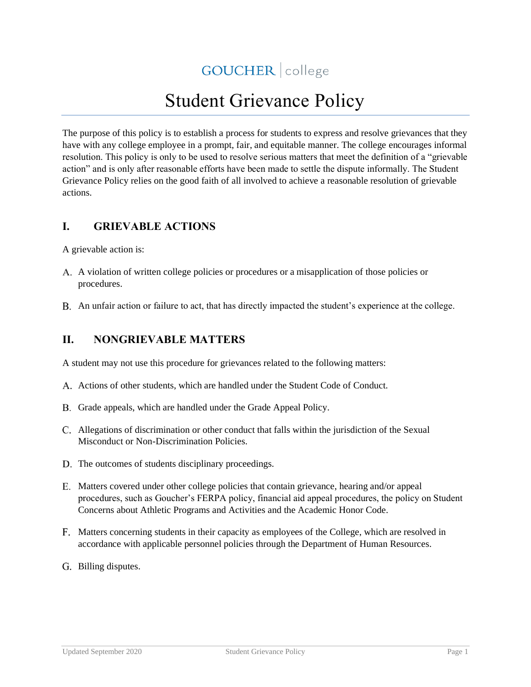GOUCHER | college

# Student Grievance Policy

The purpose of this policy is to establish a process for students to express and resolve grievances that they have with any college employee in a prompt, fair, and equitable manner. The college encourages informal resolution. This policy is only to be used to resolve serious matters that meet the definition of a "grievable action" and is only after reasonable efforts have been made to settle the dispute informally. The Student Grievance Policy relies on the good faith of all involved to achieve a reasonable resolution of grievable actions.

## **I. GRIEVABLE ACTIONS**

A grievable action is:

- A violation of written college policies or procedures or a misapplication of those policies or procedures.
- An unfair action or failure to act, that has directly impacted the student's experience at the college.

## **II. NONGRIEVABLE MATTERS**

A student may not use this procedure for grievances related to the following matters:

- A. Actions of other students, which are handled under the Student Code of Conduct.
- B. Grade appeals, which are handled under the Grade Appeal Policy.
- Allegations of discrimination or other conduct that falls within the jurisdiction of the Sexual Misconduct or Non-Discrimination Policies.
- D. The outcomes of students disciplinary proceedings.
- Matters covered under other college policies that contain grievance, hearing and/or appeal procedures, such as Goucher's FERPA policy, financial aid appeal procedures, the policy on Student Concerns about Athletic Programs and Activities and the Academic Honor Code.
- Matters concerning students in their capacity as employees of the College, which are resolved in accordance with applicable personnel policies through the Department of Human Resources.
- G. Billing disputes.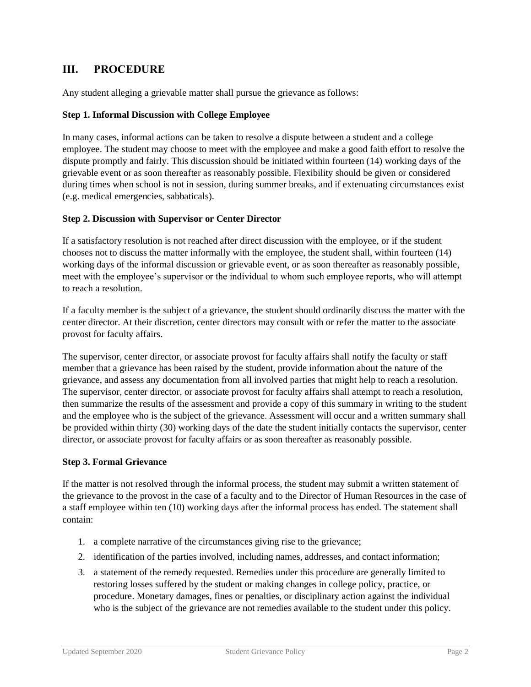## **III. PROCEDURE**

Any student alleging a grievable matter shall pursue the grievance as follows:

#### **Step 1. Informal Discussion with College Employee**

In many cases, informal actions can be taken to resolve a dispute between a student and a college employee. The student may choose to meet with the employee and make a good faith effort to resolve the dispute promptly and fairly. This discussion should be initiated within fourteen (14) working days of the grievable event or as soon thereafter as reasonably possible. Flexibility should be given or considered during times when school is not in session, during summer breaks, and if extenuating circumstances exist (e.g. medical emergencies, sabbaticals).

#### **Step 2. Discussion with Supervisor or Center Director**

If a satisfactory resolution is not reached after direct discussion with the employee, or if the student chooses not to discuss the matter informally with the employee, the student shall, within fourteen (14) working days of the informal discussion or grievable event, or as soon thereafter as reasonably possible, meet with the employee's supervisor or the individual to whom such employee reports, who will attempt to reach a resolution.

If a faculty member is the subject of a grievance, the student should ordinarily discuss the matter with the center director. At their discretion, center directors may consult with or refer the matter to the associate provost for faculty affairs.

The supervisor, center director, or associate provost for faculty affairs shall notify the faculty or staff member that a grievance has been raised by the student, provide information about the nature of the grievance, and assess any documentation from all involved parties that might help to reach a resolution. The supervisor, center director, or associate provost for faculty affairs shall attempt to reach a resolution, then summarize the results of the assessment and provide a copy of this summary in writing to the student and the employee who is the subject of the grievance. Assessment will occur and a written summary shall be provided within thirty (30) working days of the date the student initially contacts the supervisor, center director, or associate provost for faculty affairs or as soon thereafter as reasonably possible.

#### **Step 3. Formal Grievance**

If the matter is not resolved through the informal process, the student may submit a written statement of the grievance to the provost in the case of a faculty and to the Director of Human Resources in the case of a staff employee within ten (10) working days after the informal process has ended. The statement shall contain:

- 1. a complete narrative of the circumstances giving rise to the grievance;
- 2. identification of the parties involved, including names, addresses, and contact information;
- 3. a statement of the remedy requested. Remedies under this procedure are generally limited to restoring losses suffered by the student or making changes in college policy, practice, or procedure. Monetary damages, fines or penalties, or disciplinary action against the individual who is the subject of the grievance are not remedies available to the student under this policy.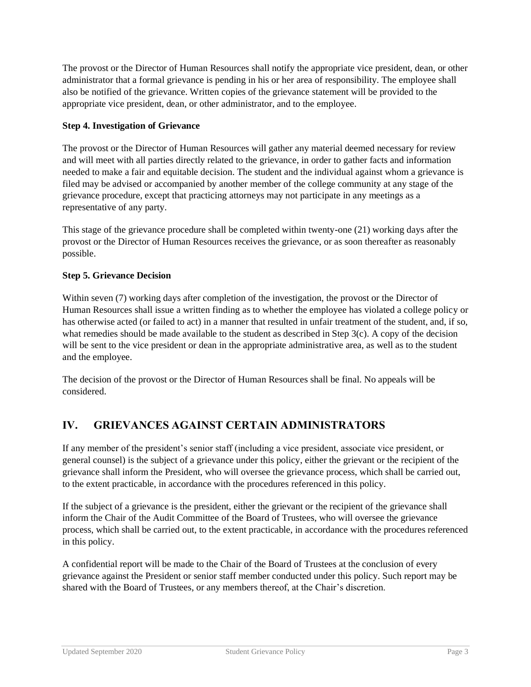The provost or the Director of Human Resources shall notify the appropriate vice president, dean, or other administrator that a formal grievance is pending in his or her area of responsibility. The employee shall also be notified of the grievance. Written copies of the grievance statement will be provided to the appropriate vice president, dean, or other administrator, and to the employee.

#### **Step 4. Investigation of Grievance**

The provost or the Director of Human Resources will gather any material deemed necessary for review and will meet with all parties directly related to the grievance, in order to gather facts and information needed to make a fair and equitable decision. The student and the individual against whom a grievance is filed may be advised or accompanied by another member of the college community at any stage of the grievance procedure, except that practicing attorneys may not participate in any meetings as a representative of any party.

This stage of the grievance procedure shall be completed within twenty-one (21) working days after the provost or the Director of Human Resources receives the grievance, or as soon thereafter as reasonably possible.

#### **Step 5. Grievance Decision**

Within seven (7) working days after completion of the investigation, the provost or the Director of Human Resources shall issue a written finding as to whether the employee has violated a college policy or has otherwise acted (or failed to act) in a manner that resulted in unfair treatment of the student, and, if so, what remedies should be made available to the student as described in Step 3(c). A copy of the decision will be sent to the vice president or dean in the appropriate administrative area, as well as to the student and the employee.

The decision of the provost or the Director of Human Resources shall be final. No appeals will be considered.

## **IV. GRIEVANCES AGAINST CERTAIN ADMINISTRATORS**

If any member of the president's senior staff (including a vice president, associate vice president, or general counsel) is the subject of a grievance under this policy, either the grievant or the recipient of the grievance shall inform the President, who will oversee the grievance process, which shall be carried out, to the extent practicable, in accordance with the procedures referenced in this policy.

If the subject of a grievance is the president, either the grievant or the recipient of the grievance shall inform the Chair of the Audit Committee of the Board of Trustees, who will oversee the grievance process, which shall be carried out, to the extent practicable, in accordance with the procedures referenced in this policy.

A confidential report will be made to the Chair of the Board of Trustees at the conclusion of every grievance against the President or senior staff member conducted under this policy. Such report may be shared with the Board of Trustees, or any members thereof, at the Chair's discretion.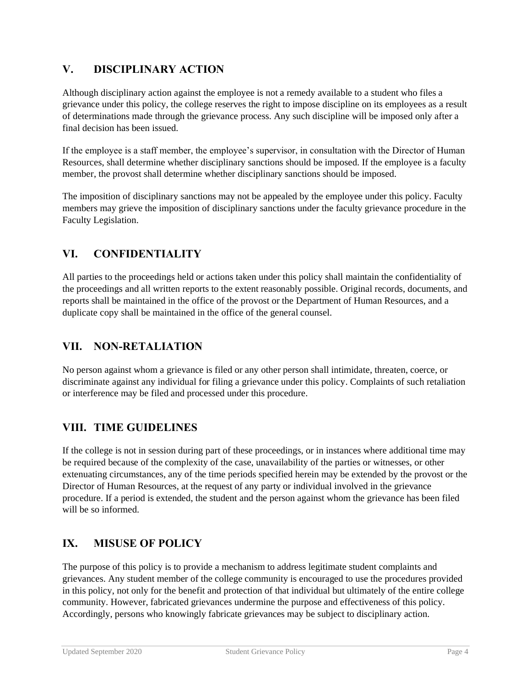# **V. DISCIPLINARY ACTION**

Although disciplinary action against the employee is not a remedy available to a student who files a grievance under this policy, the college reserves the right to impose discipline on its employees as a result of determinations made through the grievance process. Any such discipline will be imposed only after a final decision has been issued.

If the employee is a staff member, the employee's supervisor, in consultation with the Director of Human Resources, shall determine whether disciplinary sanctions should be imposed. If the employee is a faculty member, the provost shall determine whether disciplinary sanctions should be imposed.

The imposition of disciplinary sanctions may not be appealed by the employee under this policy. Faculty members may grieve the imposition of disciplinary sanctions under the faculty grievance procedure in the Faculty Legislation.

# **VI. CONFIDENTIALITY**

All parties to the proceedings held or actions taken under this policy shall maintain the confidentiality of the proceedings and all written reports to the extent reasonably possible. Original records, documents, and reports shall be maintained in the office of the provost or the Department of Human Resources, and a duplicate copy shall be maintained in the office of the general counsel.

## **VII. NON-RETALIATION**

No person against whom a grievance is filed or any other person shall intimidate, threaten, coerce, or discriminate against any individual for filing a grievance under this policy. Complaints of such retaliation or interference may be filed and processed under this procedure.

## **VIII. TIME GUIDELINES**

If the college is not in session during part of these proceedings, or in instances where additional time may be required because of the complexity of the case, unavailability of the parties or witnesses, or other extenuating circumstances, any of the time periods specified herein may be extended by the provost or the Director of Human Resources, at the request of any party or individual involved in the grievance procedure. If a period is extended, the student and the person against whom the grievance has been filed will be so informed.

## **IX. MISUSE OF POLICY**

The purpose of this policy is to provide a mechanism to address legitimate student complaints and grievances. Any student member of the college community is encouraged to use the procedures provided in this policy, not only for the benefit and protection of that individual but ultimately of the entire college community. However, fabricated grievances undermine the purpose and effectiveness of this policy. Accordingly, persons who knowingly fabricate grievances may be subject to disciplinary action.